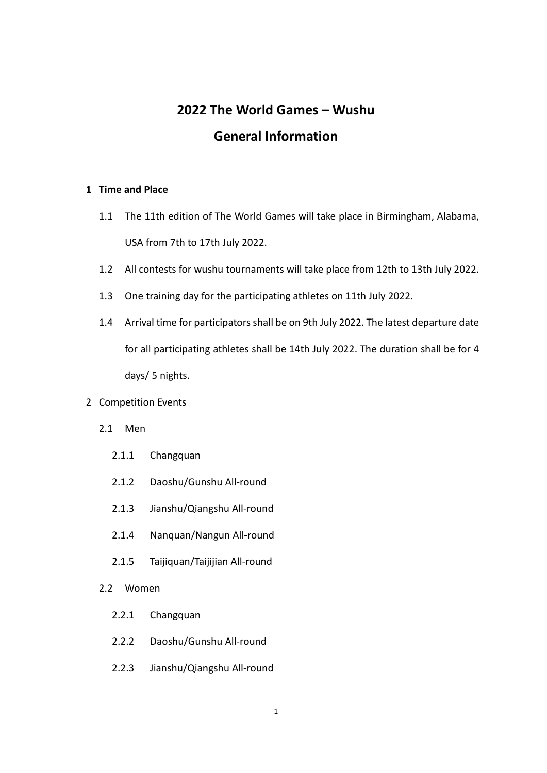# **2022 The World Games – Wushu General Information**

# **1 Time and Place**

- 1.1 The 11th edition of The World Games will take place in Birmingham, Alabama, USA from 7th to 17th July 2022.
- 1.2 All contests for wushu tournaments will take place from 12th to 13th July 2022.
- 1.3 One training day for the participating athletes on 11th July 2022.
- 1.4 Arrival time for participators shall be on 9th July 2022. The latest departure date for all participating athletes shall be 14th July 2022. The duration shall be for 4 days/ 5 nights.

## 2 Competition Events

- 2.1 Men
	- 2.1.1 Changquan
	- 2.1.2 Daoshu/Gunshu All-round
	- 2.1.3 Jianshu/Qiangshu All-round
	- 2.1.4 Nanquan/Nangun All-round
	- 2.1.5 Taijiquan/Taijijian All-round
- 2.2 Women
	- 2.2.1 Changquan
	- 2.2.2 Daoshu/Gunshu All-round
	- 2.2.3 Jianshu/Qiangshu All-round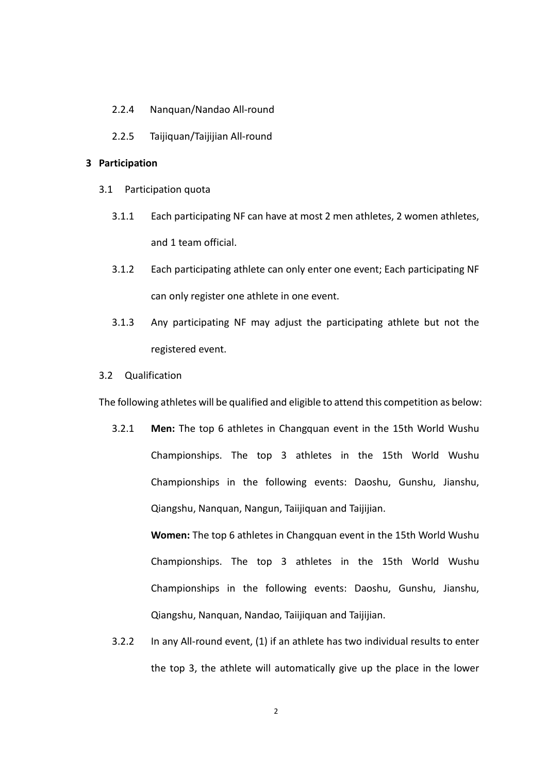- 2.2.4 Nanquan/Nandao All-round
- 2.2.5 Taijiquan/Taijijian All-round

## **3 Participation**

- 3.1 Participation quota
	- 3.1.1 Each participating NF can have at most 2 men athletes, 2 women athletes, and 1 team official.
	- 3.1.2 Each participating athlete can only enter one event; Each participating NF can only register one athlete in one event.
	- 3.1.3 Any participating NF may adjust the participating athlete but not the registered event.
- 3.2 Qualification

The following athletes will be qualified and eligible to attend this competition as below:

3.2.1 **Men:** The top 6 athletes in Changquan event in the 15th World Wushu Championships. The top 3 athletes in the 15th World Wushu Championships in the following events: Daoshu, Gunshu, Jianshu, Qiangshu, Nanquan, Nangun, Taiijiquan and Taijijian.

**Women:** The top 6 athletes in Changquan event in the 15th World Wushu Championships. The top 3 athletes in the 15th World Wushu Championships in the following events: Daoshu, Gunshu, Jianshu, Qiangshu, Nanquan, Nandao, Taiijiquan and Taijijian.

3.2.2 In any All-round event, (1) if an athlete has two individual results to enter the top 3, the athlete will automatically give up the place in the lower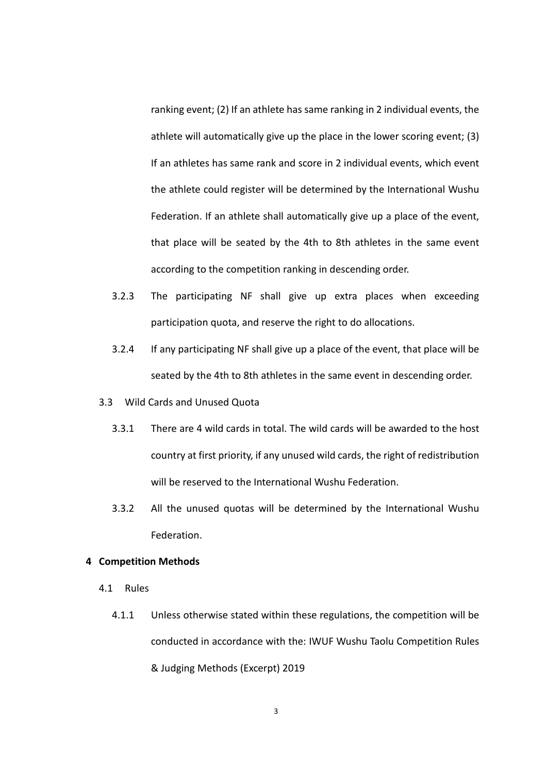ranking event; (2) If an athlete has same ranking in 2 individual events, the athlete will automatically give up the place in the lower scoring event; (3) If an athletes has same rank and score in 2 individual events, which event the athlete could register will be determined by the International Wushu Federation. If an athlete shall automatically give up a place of the event, that place will be seated by the 4th to 8th athletes in the same event according to the competition ranking in descending order.

- 3.2.3 The participating NF shall give up extra places when exceeding participation quota, and reserve the right to do allocations.
- 3.2.4 If any participating NF shall give up a place of the event, that place will be seated by the 4th to 8th athletes in the same event in descending order.
- 3.3 Wild Cards and Unused Quota
	- 3.3.1 There are 4 wild cards in total. The wild cards will be awarded to the host country at first priority, if any unused wild cards, the right of redistribution will be reserved to the International Wushu Federation.
	- 3.3.2 All the unused quotas will be determined by the International Wushu Federation.

#### **4 Competition Methods**

- 4.1 Rules
	- 4.1.1 Unless otherwise stated within these regulations, the competition will be conducted in accordance with the: IWUF Wushu Taolu Competition Rules & Judging Methods (Excerpt) 2019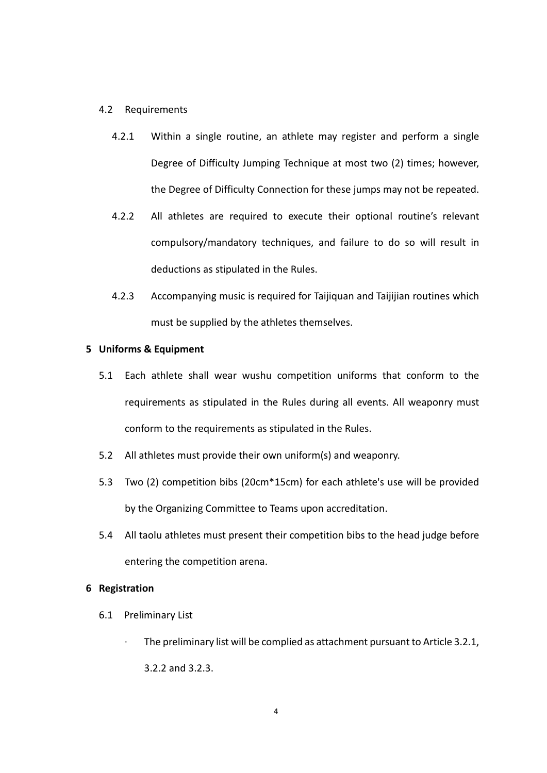#### 4.2 Requirements

- 4.2.1 Within a single routine, an athlete may register and perform a single Degree of Difficulty Jumping Technique at most two (2) times; however, the Degree of Difficulty Connection for these jumps may not be repeated.
- 4.2.2 All athletes are required to execute their optional routine's relevant compulsory/mandatory techniques, and failure to do so will result in deductions as stipulated in the Rules.
- 4.2.3 Accompanying music is required for Taijiquan and Taijijian routines which must be supplied by the athletes themselves.

#### **5 Uniforms & Equipment**

- 5.1 Each athlete shall wear wushu competition uniforms that conform to the requirements as stipulated in the Rules during all events. All weaponry must conform to the requirements as stipulated in the Rules.
- 5.2 All athletes must provide their own uniform(s) and weaponry.
- 5.3 Two (2) competition bibs (20cm\*15cm) for each athlete's use will be provided by the Organizing Committee to Teams upon accreditation.
- 5.4 All taolu athletes must present their competition bibs to the head judge before entering the competition arena.

#### **6 Registration**

- 6.1 Preliminary List
	- ∙ The preliminary list will be complied as attachment pursuant to Article 3.2.1, 3.2.2 and 3.2.3.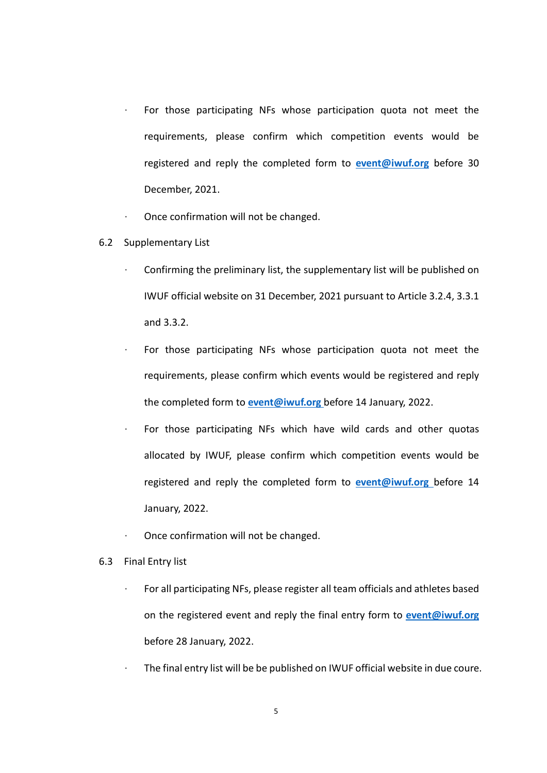- ∙ For those participating NFs whose participation quota not meet the requirements, please confirm which competition events would be registered and reply the completed form to **[event@iwuf.org](mailto:event@iwuf.org)** before 30 December, 2021.
- ∙ Once confirmation will not be changed.
- 6.2 Supplementary List
	- ∙ Confirming the preliminary list, the supplementary list will be published on IWUF official website on 31 December, 2021 pursuant to Article 3.2.4, 3.3.1 and 3.3.2.
		- For those participating NFs whose participation quota not meet the requirements, please confirm which events would be registered and reply the completed form to **[event@iwuf.org](mailto:event@iwuf.org)** before 14 January, 2022.
	- ∙ For those participating NFs which have wild cards and other quotas allocated by IWUF, please confirm which competition events would be registered and reply the completed form to **[event@iwuf.org](mailto:event@iwuf.org)** before 14 January, 2022.
	- ∙ Once confirmation will not be changed.
- 6.3 Final Entry list
	- ∙ For all participating NFs, please register all team officials and athletes based on the registered event and reply the final entry form to **[event@iwuf.org](mailto:event@iwuf.org)** before 28 January, 2022.
	- ∙ The final entry list will be be published on IWUF official website in due coure.